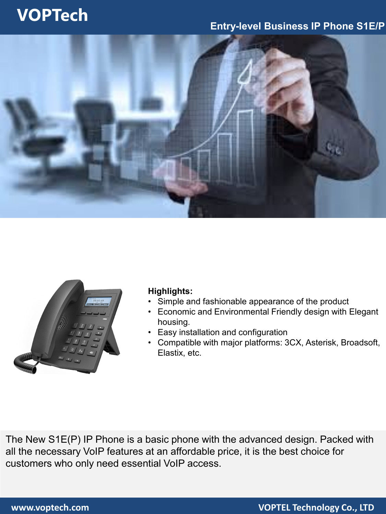# **VOPTech**

### **Entry-level Business IP Phone S1E/P**





### **Highlights:**

- Simple and fashionable appearance of the product
- Economic and Environmental Friendly design with Elegant housing.
- Easy installation and configuration
- Compatible with major platforms: 3CX, Asterisk, Broadsoft, Elastix, etc.

The New S1E(P) IP Phone is a basic phone with the advanced design. Packed with all the necessary VoIP features at an affordable price, it is the best choice for customers who only need essential VoIP access.